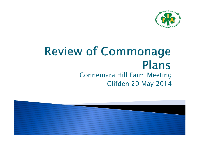

#### **Review of Commonage Plans** Connemara Hill Farm MeetingClifden 20 May 2014

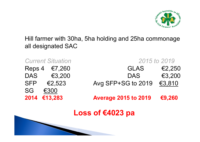

#### Hill farmer with 30ha, 5ha holding and 25ha commonage all designated SAC

| <b>Current Situation</b> | 2015 to 2019                |        |
|--------------------------|-----------------------------|--------|
| Reps 4<br>€7,260         | <b>GLAS</b>                 | €2,250 |
| €3,200<br>DAS            | DAS                         | €3,200 |
| E2,523<br><b>SFP</b>     | Avg SFP+SG to 2019          | €3,810 |
| <b>SG</b><br>€300        |                             |        |
| 2014 €13,283             | <b>Average 2015 to 2019</b> | €9,260 |
|                          |                             |        |

#### **Loss of €4023 pa**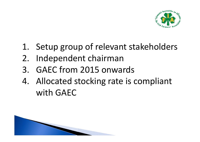

- 1. Setup group of relevant stakeholders
- 2. Independent chairman
- 3. GAEC from 2015 onwards
- 4. Allocated stocking rate is compliant with GAEC

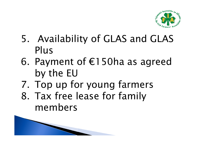

- 5. Availability of GLAS and GLAS Plus
- 6. Payment of  $E150$ ha as agreed by the EU
- 7. Top up for young farmers<br>2. Tay free lease for family
- 8. Tax free lease for family members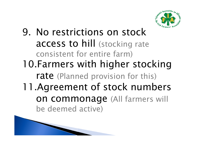

9. No restrictions on stock access to hill (stocking rate consistent for entire farm)10.Farmers with higher stocking rate (Planned provision for this) 11.Agreement of stock numbers on commonage (All farmers will be deemed active)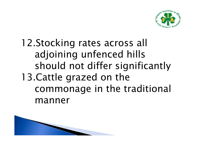

## 12.Stocking rates across all adjoining unfenced hills should not differ significantly13.Cattle grazed on the commonage in the traditional manner

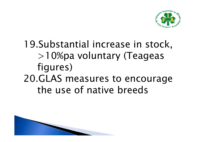

## 19.Substantial increase in stock, >10%pa voluntary (Teageas figures)20.GLAS measures to encourage the use of native breeds

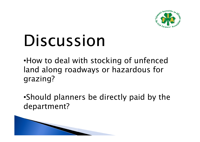

# Discussion

•How to deal with stocking of unfenced land along roadways or hazardous for grazing?

•Should planners be directly paid by the department?